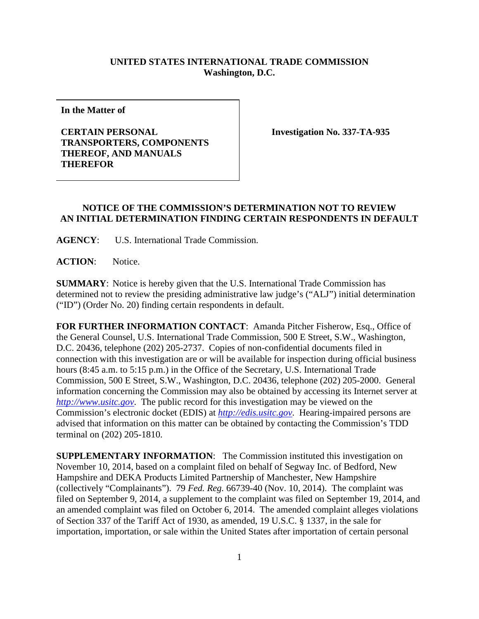## **UNITED STATES INTERNATIONAL TRADE COMMISSION Washington, D.C.**

**In the Matter of**

## **CERTAIN PERSONAL TRANSPORTERS, COMPONENTS THEREOF, AND MANUALS THEREFOR**

**Investigation No. 337-TA-935**

## **NOTICE OF THE COMMISSION'S DETERMINATION NOT TO REVIEW AN INITIAL DETERMINATION FINDING CERTAIN RESPONDENTS IN DEFAULT**

**AGENCY**: U.S. International Trade Commission.

**ACTION**: Notice.

**SUMMARY**: Notice is hereby given that the U.S. International Trade Commission has determined not to review the presiding administrative law judge's ("ALJ") initial determination ("ID") (Order No. 20) finding certain respondents in default.

**FOR FURTHER INFORMATION CONTACT**: Amanda Pitcher Fisherow, Esq., Office of the General Counsel, U.S. International Trade Commission, 500 E Street, S.W., Washington, D.C. 20436, telephone (202) 205-2737. Copies of non-confidential documents filed in connection with this investigation are or will be available for inspection during official business hours (8:45 a.m. to 5:15 p.m.) in the Office of the Secretary, U.S. International Trade Commission, 500 E Street, S.W., Washington, D.C. 20436, telephone (202) 205-2000. General information concerning the Commission may also be obtained by accessing its Internet server at *[http://www.usitc.gov](http://www.usitc.gov/)*. The public record for this investigation may be viewed on the Commission's electronic docket (EDIS) at *[http://edis.usitc.gov](http://edis.usitc.gov/)*. Hearing-impaired persons are advised that information on this matter can be obtained by contacting the Commission's TDD terminal on (202) 205-1810.

**SUPPLEMENTARY INFORMATION**: The Commission instituted this investigation on November 10, 2014, based on a complaint filed on behalf of Segway Inc. of Bedford, New Hampshire and DEKA Products Limited Partnership of Manchester, New Hampshire (collectively "Complainants"). 79 *Fed. Reg.* 66739-40 (Nov. 10, 2014). The complaint was filed on September 9, 2014, a supplement to the complaint was filed on September 19, 2014, and an amended complaint was filed on October 6, 2014. The amended complaint alleges violations of Section 337 of the Tariff Act of 1930, as amended, 19 U.S.C. § 1337, in the sale for importation, importation, or sale within the United States after importation of certain personal